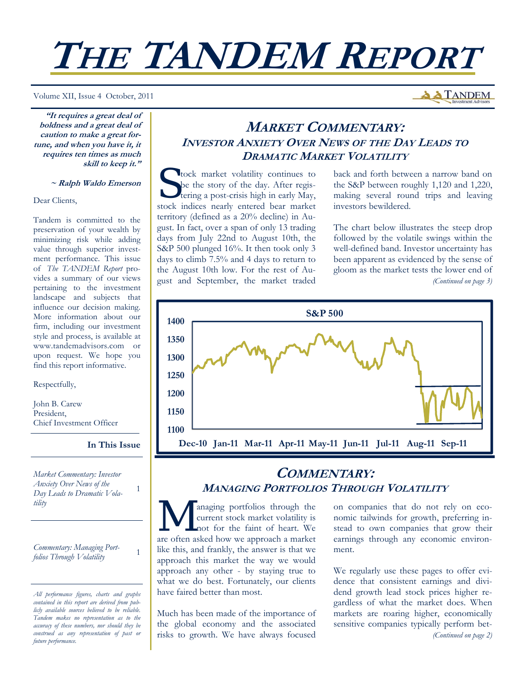# **THE TANDEM REPORT**

Volume XII, Issue 4 October, 2011

**A TANDEM** 

**"It requires a great deal of boldness and a great deal of caution to make a great fortune, and when you have it, it requires ten times as much skill to keep it."** 

#### **~ Ralph Waldo Emerson**

Dear Clients,

Tandem is committed to the preservation of your wealth by minimizing risk while adding value through superior investment performance. This issue of *The TANDEM Report* provides a summary of our views pertaining to the investment landscape and subjects that influence our decision making. More information about our firm, including our investment style and process, is available at www.tandemadvisors.com or upon request. We hope you find this report informative.

Respectfully,

John B. Carew President, Chief Investment Officer

#### **In This Issue**

1

*Market Commentary: Investor Anxiety Over News of the Day Leads to Dramatic Volatility* 

*Commentary: Managing Portfolios Through Volatility* <sup>1</sup>

## **MARKET COMMENTARY: INVESTOR ANXIETY OVER NEWS OF THE DAY LEADS TO DRAMATIC MARKET VOLATILITY**

T tock market volatility continues to be the story of the day. After registering a post-crisis high in early May, stock indices nearly entered bear market territory (defined as a 20% decline) in August. In fact, over a span of only 13 trading days from July 22nd to August 10th, the S&P 500 plunged 16%. It then took only 3 days to climb 7.5% and 4 days to return to the August 10th low. For the rest of August and September, the market traded

back and forth between a narrow band on the S&P between roughly 1,120 and 1,220, making several round trips and leaving investors bewildered.

The chart below illustrates the steep drop followed by the volatile swings within the well-defined band. Investor uncertainty has been apparent as evidenced by the sense of gloom as the market tests the lower end of *(Continued on page 3)* 



## **COMMENTARY: MANAGING PORTFOLIOS THROUGH VOLATILITY**

anaging portfolios through the current stock market volatility is not for the faint of heart. We are often asked how we approach a market like this, and frankly, the answer is that we approach this market the way we would approach any other - by staying true to what we do best. Fortunately, our clients have faired better than most.

Much has been made of the importance of the global economy and the associated risks to growth. We have always focused on companies that do not rely on economic tailwinds for growth, preferring instead to own companies that grow their earnings through any economic environment.

We regularly use these pages to offer evidence that consistent earnings and dividend growth lead stock prices higher regardless of what the market does. When markets are roaring higher, economically sensitive companies typically perform bet- *(Continued on page 2)* 

*All performance figures, charts and graphs contained in this report are derived from publicly available sources believed to be reliable. Tandem makes no representation as to the accuracy of these numbers, nor should they be construed as any representation of past or future performance.*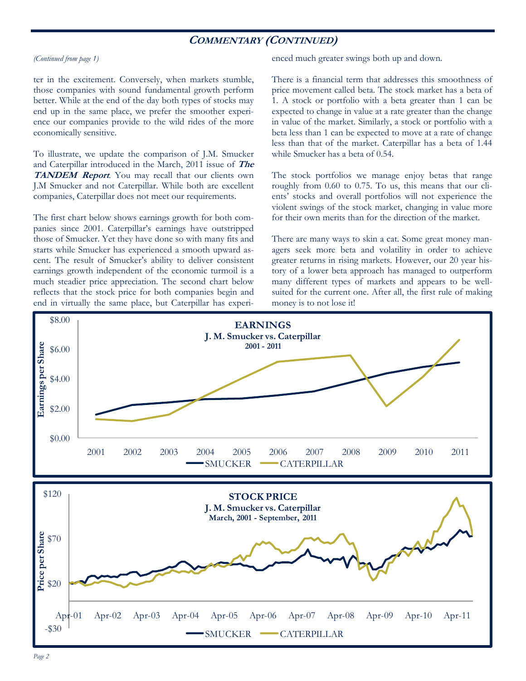## **COMMENTARY (CONTINUED)**

#### *(Continued from page 1)*

ter in the excitement. Conversely, when markets stumble, those companies with sound fundamental growth perform better. While at the end of the day both types of stocks may end up in the same place, we prefer the smoother experience our companies provide to the wild rides of the more economically sensitive.

To illustrate, we update the comparison of J.M. Smucker and Caterpillar introduced in the March, 2011 issue of **The**  TANDEM Report. You may recall that our clients own J.M Smucker and not Caterpillar. While both are excellent companies, Caterpillar does not meet our requirements.

The first chart below shows earnings growth for both companies since 2001. Caterpillar's earnings have outstripped those of Smucker. Yet they have done so with many fits and starts while Smucker has experienced a smooth upward ascent. The result of Smucker's ability to deliver consistent earnings growth independent of the economic turmoil is a much steadier price appreciation. The second chart below reflects that the stock price for both companies begin and end in virtually the same place, but Caterpillar has experienced much greater swings both up and down.

There is a financial term that addresses this smoothness of price movement called beta. The stock market has a beta of 1. A stock or portfolio with a beta greater than 1 can be expected to change in value at a rate greater than the change in value of the market. Similarly, a stock or portfolio with a beta less than 1 can be expected to move at a rate of change less than that of the market. Caterpillar has a beta of 1.44 while Smucker has a beta of 0.54.

The stock portfolios we manage enjoy betas that range roughly from 0.60 to 0.75. To us, this means that our clients' stocks and overall portfolios will not experience the violent swings of the stock market, changing in value more for their own merits than for the direction of the market.

There are many ways to skin a cat. Some great money managers seek more beta and volatility in order to achieve greater returns in rising markets. However, our 20 year history of a lower beta approach has managed to outperform many different types of markets and appears to be wellsuited for the current one. After all, the first rule of making money is to not lose it!

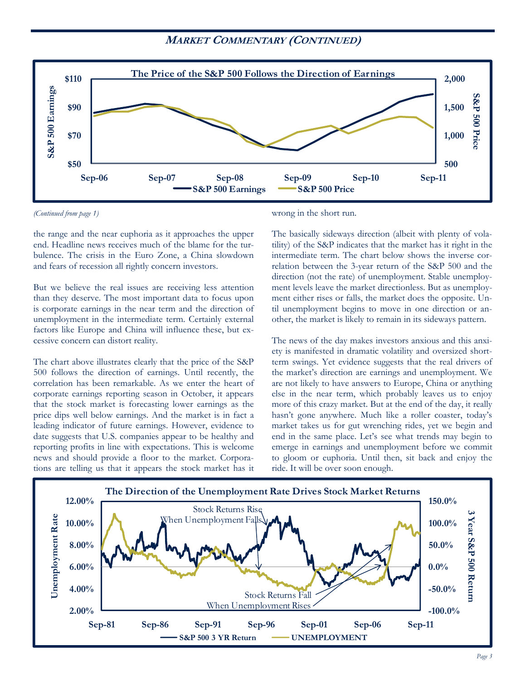## **MARKET COMMENTARY (CONTINUED)**



*(Continued from page 1)* 

the range and the near euphoria as it approaches the upper end. Headline news receives much of the blame for the turbulence. The crisis in the Euro Zone, a China slowdown and fears of recession all rightly concern investors.

But we believe the real issues are receiving less attention than they deserve. The most important data to focus upon is corporate earnings in the near term and the direction of unemployment in the intermediate term. Certainly external factors like Europe and China will influence these, but excessive concern can distort reality.

The chart above illustrates clearly that the price of the S&P 500 follows the direction of earnings. Until recently, the correlation has been remarkable. As we enter the heart of corporate earnings reporting season in October, it appears that the stock market is forecasting lower earnings as the price dips well below earnings. And the market is in fact a leading indicator of future earnings. However, evidence to date suggests that U.S. companies appear to be healthy and reporting profits in line with expectations. This is welcome news and should provide a floor to the market. Corporations are telling us that it appears the stock market has it

wrong in the short run.

The basically sideways direction (albeit with plenty of volatility) of the S&P indicates that the market has it right in the intermediate term. The chart below shows the inverse correlation between the 3-year return of the S&P 500 and the direction (not the rate) of unemployment. Stable unemployment levels leave the market directionless. But as unemployment either rises or falls, the market does the opposite. Until unemployment begins to move in one direction or another, the market is likely to remain in its sideways pattern.

The news of the day makes investors anxious and this anxiety is manifested in dramatic volatility and oversized shortterm swings. Yet evidence suggests that the real drivers of the market's direction are earnings and unemployment. We are not likely to have answers to Europe, China or anything else in the near term, which probably leaves us to enjoy more of this crazy market. But at the end of the day, it really hasn't gone anywhere. Much like a roller coaster, today's market takes us for gut wrenching rides, yet we begin and end in the same place. Let's see what trends may begin to emerge in earnings and unemployment before we commit to gloom or euphoria. Until then, sit back and enjoy the ride. It will be over soon enough.